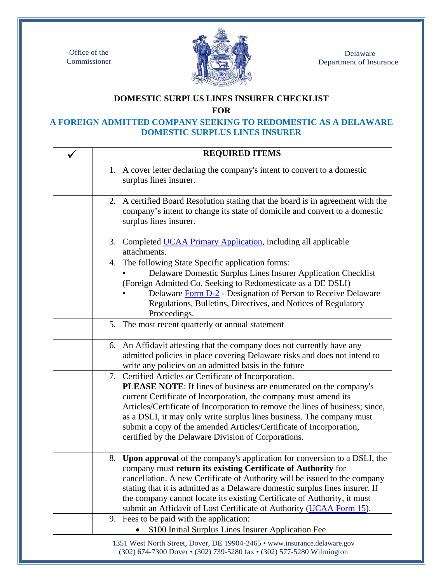Office of the Commissioner



 Delaware Department of Insurance

## **DOMESTIC SURPLUS LINES INSURER CHECKLIST**

**FOR** 

## **A FOREIGN ADMITTED COMPANY SEEKING TO REDOMESTIC AS A DELAWARE DOMESTIC SURPLUS LINES INSURER**

| <b>REQUIRED ITEMS</b>                                                                                                                                                                                                                                                                                                                                                                                                                                                                   |
|-----------------------------------------------------------------------------------------------------------------------------------------------------------------------------------------------------------------------------------------------------------------------------------------------------------------------------------------------------------------------------------------------------------------------------------------------------------------------------------------|
| 1. A cover letter declaring the company's intent to convert to a domestic<br>surplus lines insurer.                                                                                                                                                                                                                                                                                                                                                                                     |
| 2. A certified Board Resolution stating that the board is in agreement with the<br>company's intent to change its state of domicile and convert to a domestic<br>surplus lines insurer.                                                                                                                                                                                                                                                                                                 |
| 3. Completed UCAA Primary Application, including all applicable<br>attachments.                                                                                                                                                                                                                                                                                                                                                                                                         |
| 4. The following State Specific application forms:<br>Delaware Domestic Surplus Lines Insurer Application Checklist<br>(Foreign Admitted Co. Seeking to Redomesticate as a DE DSLI)<br>Delaware Form D-2 - Designation of Person to Receive Delaware<br>Regulations, Bulletins, Directives, and Notices of Regulatory<br>Proceedings.                                                                                                                                                   |
| 5. The most recent quarterly or annual statement                                                                                                                                                                                                                                                                                                                                                                                                                                        |
| 6. An Affidavit attesting that the company does not currently have any<br>admitted policies in place covering Delaware risks and does not intend to<br>write any policies on an admitted basis in the future                                                                                                                                                                                                                                                                            |
| 7. Certified Articles or Certificate of Incorporation.<br>PLEASE NOTE: If lines of business are enumerated on the company's<br>current Certificate of Incorporation, the company must amend its<br>Articles/Certificate of Incorporation to remove the lines of business; since,<br>as a DSLI, it may only write surplus lines business. The company must<br>submit a copy of the amended Articles/Certificate of Incorporation,<br>certified by the Delaware Division of Corporations. |
| 8. Upon approval of the company's application for conversion to a DSLI, the<br>company must return its existing Certificate of Authority for<br>cancellation. A new Certificate of Authority will be issued to the company<br>stating that it is admitted as a Delaware domestic surplus lines insurer. If<br>the company cannot locate its existing Certificate of Authority, it must<br>submit an Affidavit of Lost Certificate of Authority (UCAA Form 15).                          |
| 9. Fees to be paid with the application:<br>\$100 Initial Surplus Lines Insurer Application Fee                                                                                                                                                                                                                                                                                                                                                                                         |
| 1351 West North Street, Dover, DE 19904-2465 • www.insurance.delaware.gov<br>(302) 674-7300 Dover • (302) 739-5280 fax • (302) 577-5280 Wilmington                                                                                                                                                                                                                                                                                                                                      |